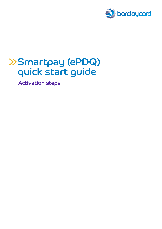

# Smartpay (ePDQ) quick start guide

Activation steps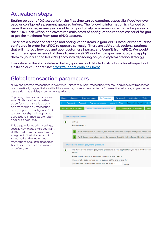#### Activation steps

Setting up your ePDQ account for the first time can be daunting, especially if you've never used or configured a payment gateway before. The following information is intended to make this journey as easy as possible for you, to help familiarise you with the key areas of the ePDQ Back Office, and covers the main areas of configuration that are essential for you to get the maximum from your ePDQ account.

There are a number of settings and configuration items in your ePDQ Account that must be configured in order for ePDQ to operate correctly. There are additional, optional settings that will improve how you and your customers interact and benefit from ePDQ. We would recommend you review all of these to ensure ePDQ works how you need it to, and apply them to your test and live ePDQ accounts depending on your implementation strategy.

In addition to the steps detailed below, you can find detailed instructions for all aspects of ePDQ on our Support Site:<https://support.epdq.co.uk/en/>

#### Global transaction parameters

ePDQ can process transactions in two waus – either as a 'Sale' transaction, whereby any approved transaction is automatically flagged to be settled the same day, or as an 'Authorisation' transaction, whereby any approved transaction has a delayed settlement applied to it.

Capturing a transaction processed as an 'Authorisation' can either be performed manually by you on a transaction by transaction basis, or you can configure ePDQ to automatically settle approved transactions immediately or after a specified time limit.

This page includes other settings, such as how many times you want ePDQ to allow a customer to retry a payment if their first attempt is declined, and whether your transactions should be flagged as Telephone Order or Ecommerce by default, etc.

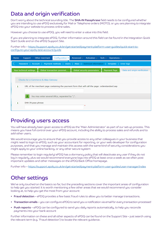# Data and origin verification

Don't worry about the technical sounding title. The **SHA-IN Passphrase** field needs to be configured whether you are intending to use ePDQ exclusively for Mail or Telephone orders (MOTO), or you are planning to integrate ePDQ into your website to process online sales.

However you choose to use ePDQ, you will need to enter a value into this field.

If you are planning to integrate ePDQ, further information around this field can be found in the Integration Quick Start Guide and on the ePDQ Support Site.

Further info – [https://support.epdq.co.uk/en/get-started/payment-platform-user-guides/quick-start-to](https://support.epdq.co.uk/en/get-started/payment-platform-user-guides/quick-start-to-configure-your-epdq-test-account/guide)[configure-your-epdq-test-account/guide](https://support.epdq.co.uk/en/get-started/payment-platform-user-guides/quick-start-to-configure-your-epdq-test-account/guide)

| Home                                                                                                 | Support                 | Other merchant                                                                                  | Configuration $\blacktriangledown$ | Advanced $\sim$<br>Activation $\sim$ | Tech $\sim$ Operations $\sim$ |                              |  |
|------------------------------------------------------------------------------------------------------|-------------------------|-------------------------------------------------------------------------------------------------|------------------------------------|--------------------------------------|-------------------------------|------------------------------|--|
| Password   Account   Payment methods   Users   Alias   Technical information   Template   Error logs |                         |                                                                                                 |                                    |                                      |                               |                              |  |
|                                                                                                      | Your technical settings |                                                                                                 | Global transaction paramet         | <b>Global security parameters</b>    | Payment Page                  | Data and origin verification |  |
|                                                                                                      |                         |                                                                                                 |                                    |                                      |                               |                              |  |
| <b>Checks for e-Commerce &amp; Alias Gateway</b>                                                     |                         |                                                                                                 |                                    |                                      |                               |                              |  |
| i.                                                                                                   |                         | URL of the merchant page containing the payment form that will call the page: orderstandard.asp |                                    |                                      |                               |                              |  |
|                                                                                                      |                         |                                                                                                 |                                    |                                      |                               |                              |  |
|                                                                                                      |                         | You may enter several URLs, separated by ";".                                                   |                                    |                                      |                               |                              |  |
| i                                                                                                    |                         | SHA-IN pass phrase                                                                              |                                    |                                      |                               |                              |  |
|                                                                                                      |                         |                                                                                                 |                                    |                                      |                               |                              |  |

#### Providing users access

You will have already been given access to ePDQ as the 'Main Administrator' as part of our set-up process. This means you have full control over your ePDQ account, including the ability to process sales and refunds and to add other users.

We would encourage you to ensure that you provide access to any other colleagues in your business that might need to login to ePDQ, such as your accountant for reporting, or your web developer for configuration purposes, and that you manage and maintain this access with the same kind of security considerations you might apply to your online banking, or any other secure system

Please remember to login regularly! ePDQ has a dormancy policy that will deactivate any user if they do not log in regularly, plus we would recommend everyone logs into ePDQ at least once a week as we often post important updates and other messages on the ePDQ Back Office homepage.

Further info – <https://support.epdq.co.uk/en/get-started/payment-platform-user-guides/user-manager/index>

# Other settings

We've only touched on the basics so far, but the preceding sections cover the important areas of configuration to help get you started. It is worth mentioning a few other areas that we would recommend you consider looking at, to help you get the most from your account:

- Fraud detection ePDQ provides a few basic fraud rules to allow you to better manage transactions.
- Transaction emails you can configure ePDQ to send you a notification via email for every transaction processed
- Push reports ePDQ can be configured to send you daily reports automatically, to help you reconcile payments into your bank account

Further information on these and all other aspects of ePDQ can be found on the Support Site – just search using the relevant term (e.g. 'Fraud detection') to locate the relevant guidance.